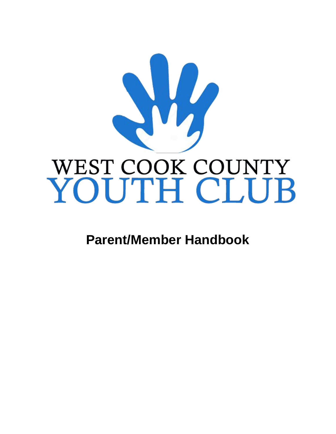

**Parent/Member Handbook**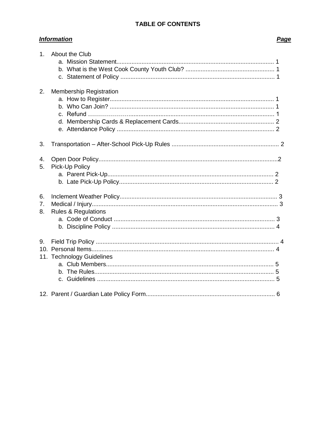# **TABLE OF CONTENTS**

# **Information**

# Page

| 1              | About the Club                 |  |
|----------------|--------------------------------|--|
|                |                                |  |
|                |                                |  |
| 2.             | <b>Membership Registration</b> |  |
| 3.             |                                |  |
| 4.<br>5.       | Pick-Up Policy                 |  |
| 6.<br>7.<br>8. | <b>Rules &amp; Regulations</b> |  |
| 9.             | 11. Technology Guidelines      |  |
|                |                                |  |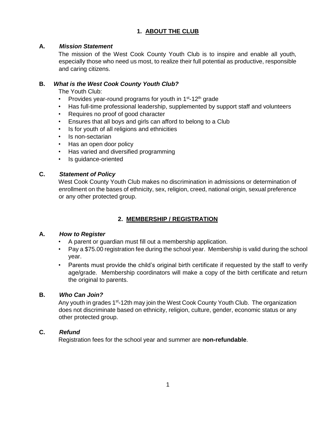## **1. ABOUT THE CLUB**

#### **A.** *Mission Statement*

The mission of the West Cook County Youth Club is to inspire and enable all youth, especially those who need us most, to realize their full potential as productive, responsible and caring citizens.

#### **B.** *What is the West Cook County Youth Club?*

The Youth Club:

- Provides year-round programs for youth in  $1<sup>st</sup>$ -12<sup>th</sup> grade
- Has full-time professional leadership, supplemented by support staff and volunteers
- Requires no proof of good character
- Ensures that all boys and girls can afford to belong to a Club
- Is for youth of all religions and ethnicities
- Is non-sectarian
- Has an open door policy
- Has varied and diversified programming
- Is guidance-oriented

#### **C.** *Statement of Policy*

West Cook County Youth Club makes no discrimination in admissions or determination of enrollment on the bases of ethnicity, sex, religion, creed, national origin, sexual preference or any other protected group.

# **2. MEMBERSHIP / REGISTRATION**

#### **A.** *How to Register*

- A parent or guardian must fill out a membership application.
- Pay a \$75.00 registration fee during the school year. Membership is valid during the school year.
- Parents must provide the child's original birth certificate if requested by the staff to verify age/grade. Membership coordinators will make a copy of the birth certificate and return the original to parents.

## **B.** *Who Can Join?*

Any youth in grades 1<sup>st</sup>-12th may join the West Cook County Youth Club. The organization does not discriminate based on ethnicity, religion, culture, gender, economic status or any other protected group.

#### **C.** *Refund*

Registration fees for the school year and summer are **non-refundable**.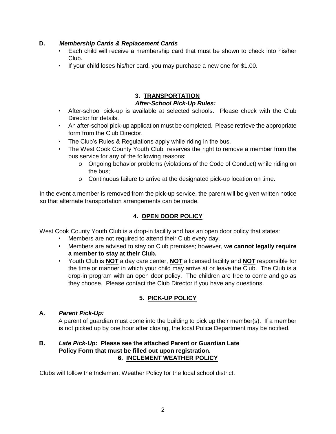## **D.** *Membership Cards & Replacement Cards*

- Each child will receive a membership card that must be shown to check into his/her Club.
- If your child loses his/her card, you may purchase a new one for \$1.00.

# **3. TRANSPORTATION**

#### *After-School Pick-Up Rules:*

- After-school pick-up is available at selected schools. Please check with the Club Director for details.
- An after-school pick-up application must be completed. Please retrieve the appropriate form from the Club Director.
- The Club's Rules & Regulations apply while riding in the bus.
- The West Cook County Youth Club reserves the right to remove a member from the bus service for any of the following reasons:
	- o Ongoing behavior problems (violations of the Code of Conduct) while riding on the bus;
	- o Continuous failure to arrive at the designated pick-up location on time.

In the event a member is removed from the pick-up service, the parent will be given written notice so that alternate transportation arrangements can be made.

## **4. OPEN DOOR POLICY**

West Cook County Youth Club is a drop-in facility and has an open door policy that states:

- Members are not required to attend their Club every day.
- Members are advised to stay on Club premises; however, **we cannot legally require a member to stay at their Club.**
- Youth Club is **NOT** a day care center, **NOT** a licensed facility and **NOT** responsible for the time or manner in which your child may arrive at or leave the Club. The Club is a drop-in program with an open door policy. The children are free to come and go as they choose. Please contact the Club Director if you have any questions.

## **5. PICK-UP POLICY**

#### **A.** *Parent Pick-Up:*

A parent of guardian must come into the building to pick up their member(s). If a member is not picked up by one hour after closing, the local Police Department may be notified.

#### **B.** *Late Pick-Up:* **Please see the attached Parent or Guardian Late Policy Form that must be filled out upon registration. 6. INCLEMENT WEATHER POLICY**

Clubs will follow the Inclement Weather Policy for the local school district.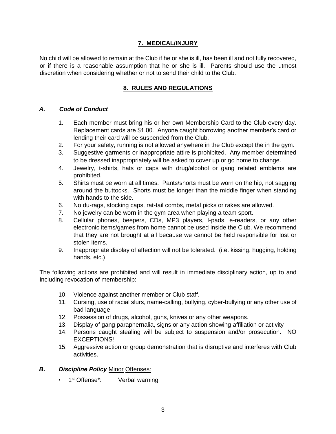## **7. MEDICAL/INJURY**

No child will be allowed to remain at the Club if he or she is ill, has been ill and not fully recovered, or if there is a reasonable assumption that he or she is ill. Parents should use the utmost discretion when considering whether or not to send their child to the Club.

# **8. RULES AND REGULATIONS**

#### *A. Code of Conduct*

- 1. Each member must bring his or her own Membership Card to the Club every day. Replacement cards are \$1.00. Anyone caught borrowing another member's card or lending their card will be suspended from the Club.
- 2. For your safety, running is not allowed anywhere in the Club except the in the gym.
- 3. Suggestive garments or inappropriate attire is prohibited. Any member determined to be dressed inappropriately will be asked to cover up or go home to change.
- 4. Jewelry, t-shirts, hats or caps with drug/alcohol or gang related emblems are prohibited.
- 5. Shirts must be worn at all times. Pants/shorts must be worn on the hip, not sagging around the buttocks. Shorts must be longer than the middle finger when standing with hands to the side.
- 6. No du-rags, stocking caps, rat-tail combs, metal picks or rakes are allowed.
- 7. No jewelry can be worn in the gym area when playing a team sport.
- 8. Cellular phones, beepers, CDs, MP3 players, I-pads, e-readers, or any other electronic items/games from home cannot be used inside the Club. We recommend that they are not brought at all because we cannot be held responsible for lost or stolen items.
- 9. Inappropriate display of affection will not be tolerated. (i.e. kissing, hugging, holding hands, etc.)

The following actions are prohibited and will result in immediate disciplinary action, up to and including revocation of membership:

- 10. Violence against another member or Club staff.
- 11. Cursing, use of racial slurs, name-calling, bullying, cyber-bullying or any other use of bad language
- 12. Possession of drugs, alcohol, guns, knives or any other weapons.
- 13. Display of gang paraphernalia, signs or any action showing affiliation or activity
- 14. Persons caught stealing will be subject to suspension and/or prosecution. NO EXCEPTIONS!
- 15. Aggressive action or group demonstration that is disruptive and interferes with Club activities.
- *B. Discipline Policy* Minor Offenses:
	- 1<sup>st</sup> Offense<sup>\*</sup>: Verbal warning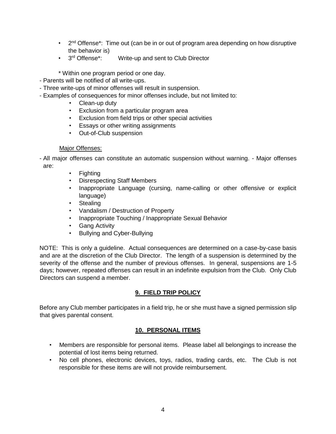- $\cdot$  2<sup>nd</sup> Offense<sup>\*</sup>: Time out (can be in or out of program area depending on how disruptive the behavior is)
- 3rd Offense\*: Write-up and sent to Club Director
- \* Within one program period or one day.
- Parents will be notified of all write-ups.
- Three write-ups of minor offenses will result in suspension.
- Examples of consequences for minor offenses include, but not limited to:
	- Clean-up duty
	- Exclusion from a particular program area
	- Exclusion from field trips or other special activities
	- Essays or other writing assignments
	- Out-of-Club suspension

#### Major Offenses:

- All major offenses can constitute an automatic suspension without warning. - Major offenses are:

- Fighting
- Disrespecting Staff Members
- Inappropriate Language (cursing, name-calling or other offensive or explicit language)
- Stealing
- Vandalism / Destruction of Property
- Inappropriate Touching / Inappropriate Sexual Behavior
- Gang Activity
- Bullying and Cyber-Bullying

NOTE: This is only a guideline. Actual consequences are determined on a case-by-case basis and are at the discretion of the Club Director. The length of a suspension is determined by the severity of the offense and the number of previous offenses. In general, suspensions are 1-5 days; however, repeated offenses can result in an indefinite expulsion from the Club. Only Club Directors can suspend a member.

## **9. FIELD TRIP POLICY**

Before any Club member participates in a field trip, he or she must have a signed permission slip that gives parental consent.

## **10. PERSONAL ITEMS**

- Members are responsible for personal items. Please label all belongings to increase the potential of lost items being returned.
- No cell phones, electronic devices, toys, radios, trading cards, etc. The Club is not responsible for these items are will not provide reimbursement.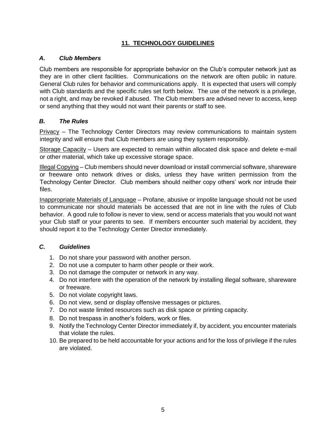# **11. TECHNOLOGY GUIDELINES**

## *A. Club Members*

Club members are responsible for appropriate behavior on the Club's computer network just as they are in other client facilities. Communications on the network are often public in nature. General Club rules for behavior and communications apply. It is expected that users will comply with Club standards and the specific rules set forth below. The use of the network is a privilege, not a right, and may be revoked if abused. The Club members are advised never to access, keep or send anything that they would not want their parents or staff to see.

# *B. The Rules*

**Privacy** – The Technology Center Directors may review communications to maintain system integrity and will ensure that Club members are using they system responsibly.

Storage Capacity – Users are expected to remain within allocated disk space and delete e-mail or other material, which take up excessive storage space.

Illegal Copying – Club members should never download or install commercial software, shareware or freeware onto network drives or disks, unless they have written permission from the Technology Center Director. Club members should neither copy others' work nor intrude their files.

Inappropriate Materials of Language – Profane, abusive or impolite language should not be used to communicate nor should materials be accessed that are not in line with the rules of Club behavior. A good rule to follow is never to view, send or access materials that you would not want your Club staff or your parents to see. If members encounter such material by accident, they should report it to the Technology Center Director immediately.

## *C. Guidelines*

- 1. Do not share your password with another person.
- 2. Do not use a computer to harm other people or their work.
- 3. Do not damage the computer or network in any way.
- 4. Do not interfere with the operation of the network by installing illegal software, shareware or freeware.
- 5. Do not violate copyright laws.
- 6. Do not view, send or display offensive messages or pictures.
- 7. Do not waste limited resources such as disk space or printing capacity.
- 8. Do not trespass in another's folders, work or files.
- 9. Notify the Technology Center Director immediately if, by accident, you encounter materials that violate the rules.
- 10. Be prepared to be held accountable for your actions and for the loss of privilege if the rules are violated.